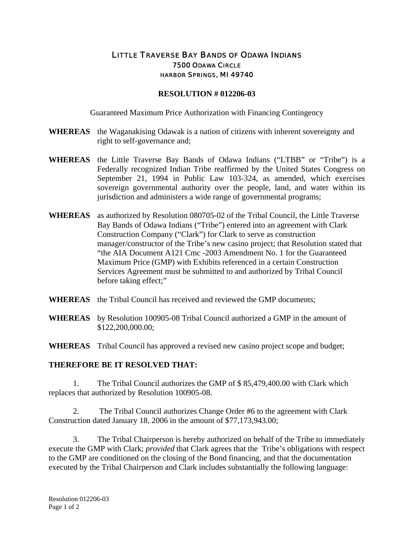## LITTLE TRAVERSE BAY BANDS OF ODAWA INDIANS 7500 ODAWA CIRCLE HARBOR SPRINGS, MI 49740

## **RESOLUTION # 012206-03**

Guaranteed Maximum Price Authorization with Financing Contingency

- **WHEREAS** the Waganakising Odawak is a nation of citizens with inherent sovereignty and right to self-governance and;
- **WHEREAS** the Little Traverse Bay Bands of Odawa Indians ("LTBB" or "Tribe") is a Federally recognized Indian Tribe reaffirmed by the United States Congress on September 21, 1994 in Public Law 103-324, as amended, which exercises sovereign governmental authority over the people, land, and water within its jurisdiction and administers a wide range of governmental programs;
- **WHEREAS** as authorized by Resolution 080705-02 of the Tribal Council, the Little Traverse Bay Bands of Odawa Indians ("Tribe") entered into an agreement with Clark Construction Company ("Clark") for Clark to serve as construction manager/constructor of the Tribe's new casino project; that Resolution stated that "the AIA Document A121 Cmc -2003 Amendment No. 1 for the Guaranteed Maximum Price (GMP) with Exhibits referenced in a certain Construction Services Agreement must be submitted to and authorized by Tribal Council before taking effect;"
- **WHEREAS** the Tribal Council has received and reviewed the GMP documents;
- **WHEREAS** by Resolution 100905-08 Tribal Council authorized a GMP in the amount of \$122,200,000.00;

**WHEREAS** Tribal Council has approved a revised new casino project scope and budget;

## **THEREFORE BE IT RESOLVED THAT:**

1. The Tribal Council authorizes the GMP of \$ 85,479,400.00 with Clark which replaces that authorized by Resolution 100905-08.

2. The Tribal Council authorizes Change Order #6 to the agreement with Clark Construction dated January 18, 2006 in the amount of \$77,173,943.00;

3. The Tribal Chairperson is hereby authorized on behalf of the Tribe to immediately execute the GMP with Clark; *provided* that Clark agrees that the Tribe's obligations with respect to the GMP are conditioned on the closing of the Bond financing, and that the documentation executed by the Tribal Chairperson and Clark includes substantially the following language: